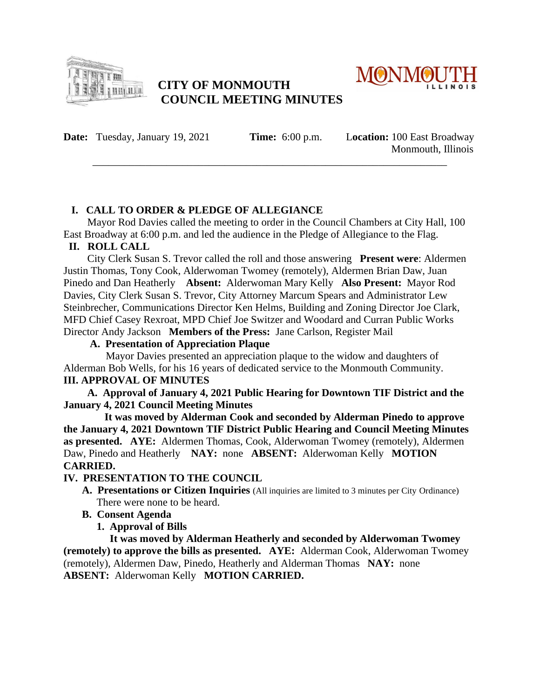

# **CITY OF MONMOUTH COUNCIL MEETING MINUTES**



**Date:** Tuesday, January 19, 2021 **Time:** 6:00 p.m. L**ocation:** 100 East Broadway

Monmouth, Illinois

## **I. CALL TO ORDER & PLEDGE OF ALLEGIANCE**

Mayor Rod Davies called the meeting to order in the Council Chambers at City Hall, 100 East Broadway at 6:00 p.m. and led the audience in the Pledge of Allegiance to the Flag.

\_\_\_\_\_\_\_\_\_\_\_\_\_\_\_\_\_\_\_\_\_\_\_\_\_\_\_\_\_\_\_\_\_\_\_\_\_\_\_\_\_\_\_\_\_\_\_\_\_\_\_\_\_\_\_\_\_\_\_\_\_\_\_\_\_\_\_

## **II. ROLL CALL**

City Clerk Susan S. Trevor called the roll and those answering **Present were**: Aldermen Justin Thomas, Tony Cook, Alderwoman Twomey (remotely), Aldermen Brian Daw, Juan Pinedo and Dan Heatherly **Absent:** Alderwoman Mary Kelly **Also Present:** Mayor Rod Davies, City Clerk Susan S. Trevor, City Attorney Marcum Spears and Administrator Lew Steinbrecher, Communications Director Ken Helms, Building and Zoning Director Joe Clark, MFD Chief Casey Rexroat, MPD Chief Joe Switzer and Woodard and Curran Public Works Director Andy Jackson **Members of the Press:** Jane Carlson, Register Mail

### **A. Presentation of Appreciation Plaque**

Mayor Davies presented an appreciation plaque to the widow and daughters of Alderman Bob Wells, for his 16 years of dedicated service to the Monmouth Community. **III. APPROVAL OF MINUTES** 

 **A. Approval of January 4, 2021 Public Hearing for Downtown TIF District and the January 4, 2021 Council Meeting Minutes** 

 **It was moved by Alderman Cook and seconded by Alderman Pinedo to approve the January 4, 2021 Downtown TIF District Public Hearing and Council Meeting Minutes as presented. AYE:** Aldermen Thomas, Cook, Alderwoman Twomey (remotely), Aldermen Daw, Pinedo and Heatherly **NAY:** none **ABSENT:** Alderwoman Kelly **MOTION CARRIED.** 

## **IV. PRESENTATION TO THE COUNCIL**

 **A. Presentations or Citizen Inquiries** (All inquiries are limited to 3 minutes per City Ordinance) There were none to be heard.

### **B. Consent Agenda**

 **1. Approval of Bills**

 **It was moved by Alderman Heatherly and seconded by Alderwoman Twomey (remotely) to approve the bills as presented. AYE:** Alderman Cook, Alderwoman Twomey (remotely), Aldermen Daw, Pinedo, Heatherly and Alderman Thomas **NAY:** none **ABSENT:** Alderwoman Kelly **MOTION CARRIED.**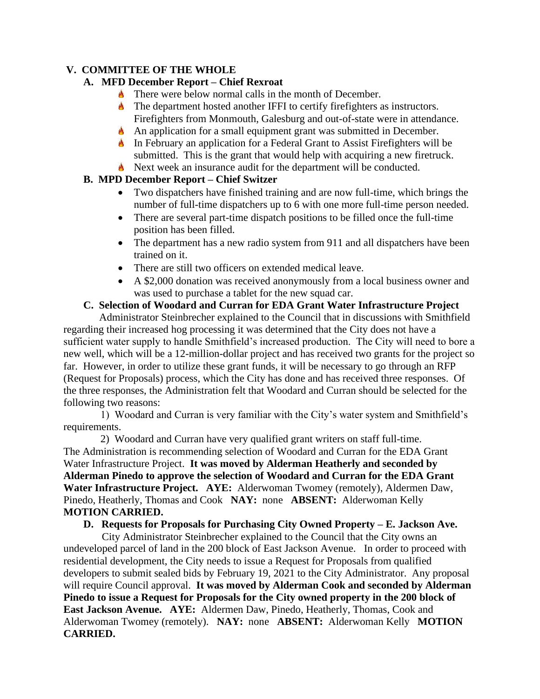### **V. COMMITTEE OF THE WHOLE**

## **A. MFD December Report – Chief Rexroat**

- **There were below normal calls in the month of December.**
- **The department hosted another IFFI to certify firefighters as instructors.** Firefighters from Monmouth, Galesburg and out-of-state were in attendance.
- An application for a small equipment grant was submitted in December.
- In February an application for a Federal Grant to Assist Firefighters will be submitted. This is the grant that would help with acquiring a new firetruck.
- Next week an insurance audit for the department will be conducted.

## **B. MPD December Report – Chief Switzer**

- Two dispatchers have finished training and are now full-time, which brings the number of full-time dispatchers up to 6 with one more full-time person needed.
- There are several part-time dispatch positions to be filled once the full-time position has been filled.
- The department has a new radio system from 911 and all dispatchers have been trained on it.
- There are still two officers on extended medical leave.
- A \$2,000 donation was received anonymously from a local business owner and was used to purchase a tablet for the new squad car.

## **C. Selection of Woodard and Curran for EDA Grant Water Infrastructure Project**

Administrator Steinbrecher explained to the Council that in discussions with Smithfield regarding their increased hog processing it was determined that the City does not have a sufficient water supply to handle Smithfield's increased production. The City will need to bore a new well, which will be a 12-million-dollar project and has received two grants for the project so far. However, in order to utilize these grant funds, it will be necessary to go through an RFP (Request for Proposals) process, which the City has done and has received three responses. Of the three responses, the Administration felt that Woodard and Curran should be selected for the following two reasons:

 1) Woodard and Curran is very familiar with the City's water system and Smithfield's requirements.

 2) Woodard and Curran have very qualified grant writers on staff full-time. The Administration is recommending selection of Woodard and Curran for the EDA Grant Water Infrastructure Project. **It was moved by Alderman Heatherly and seconded by Alderman Pinedo to approve the selection of Woodard and Curran for the EDA Grant Water Infrastructure Project. AYE:** Alderwoman Twomey (remotely), Aldermen Daw, Pinedo, Heatherly, Thomas and Cook **NAY:** none **ABSENT:** Alderwoman Kelly **MOTION CARRIED.**

### **D. Requests for Proposals for Purchasing City Owned Property – E. Jackson Ave.**

City Administrator Steinbrecher explained to the Council that the City owns an undeveloped parcel of land in the 200 block of East Jackson Avenue. In order to proceed with residential development, the City needs to issue a Request for Proposals from qualified developers to submit sealed bids by February 19, 2021 to the City Administrator. Any proposal will require Council approval. **It was moved by Alderman Cook and seconded by Alderman Pinedo to issue a Request for Proposals for the City owned property in the 200 block of East Jackson Avenue. AYE:** Aldermen Daw, Pinedo, Heatherly, Thomas, Cook and Alderwoman Twomey (remotely). **NAY:** none **ABSENT:** Alderwoman Kelly **MOTION CARRIED.**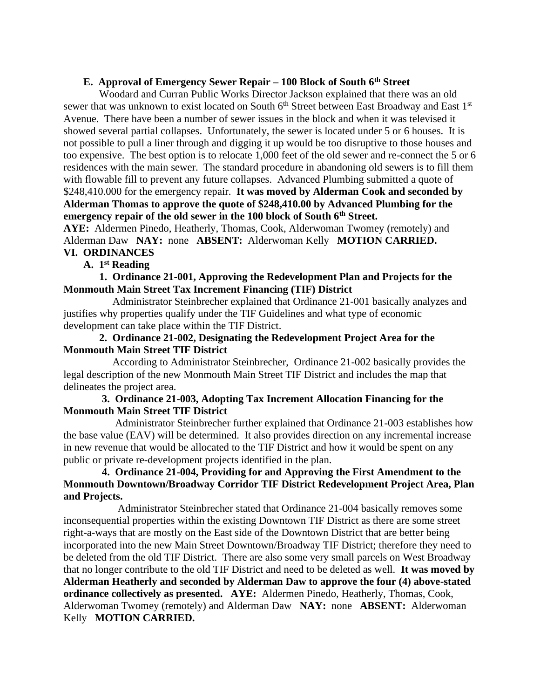#### **E. Approval of Emergency Sewer Repair – 100 Block of South 6th Street**

Woodard and Curran Public Works Director Jackson explained that there was an old sewer that was unknown to exist located on South 6<sup>th</sup> Street between East Broadway and East 1<sup>st</sup> Avenue. There have been a number of sewer issues in the block and when it was televised it showed several partial collapses. Unfortunately, the sewer is located under 5 or 6 houses. It is not possible to pull a liner through and digging it up would be too disruptive to those houses and too expensive. The best option is to relocate 1,000 feet of the old sewer and re-connect the 5 or 6 residences with the main sewer. The standard procedure in abandoning old sewers is to fill them with flowable fill to prevent any future collapses. Advanced Plumbing submitted a quote of \$248,410.000 for the emergency repair. **It was moved by Alderman Cook and seconded by Alderman Thomas to approve the quote of \$248,410.00 by Advanced Plumbing for the emergency repair of the old sewer in the 100 block of South 6th Street.**

**AYE:** Aldermen Pinedo, Heatherly, Thomas, Cook, Alderwoman Twomey (remotely) and Alderman Daw **NAY:** none **ABSENT:** Alderwoman Kelly **MOTION CARRIED. VI. ORDINANCES**

#### **A. 1st Reading**

 **1. Ordinance 21-001, Approving the Redevelopment Plan and Projects for the Monmouth Main Street Tax Increment Financing (TIF) District**

Administrator Steinbrecher explained that Ordinance 21-001 basically analyzes and justifies why properties qualify under the TIF Guidelines and what type of economic development can take place within the TIF District.

#### **2. Ordinance 21-002, Designating the Redevelopment Project Area for the Monmouth Main Street TIF District**

According to Administrator Steinbrecher, Ordinance 21-002 basically provides the legal description of the new Monmouth Main Street TIF District and includes the map that delineates the project area.

#### **3. Ordinance 21-003, Adopting Tax Increment Allocation Financing for the Monmouth Main Street TIF District**

Administrator Steinbrecher further explained that Ordinance 21-003 establishes how the base value (EAV) will be determined. It also provides direction on any incremental increase in new revenue that would be allocated to the TIF District and how it would be spent on any public or private re-development projects identified in the plan.

#### **4. Ordinance 21-004, Providing for and Approving the First Amendment to the Monmouth Downtown/Broadway Corridor TIF District Redevelopment Project Area, Plan and Projects.**

Administrator Steinbrecher stated that Ordinance 21-004 basically removes some inconsequential properties within the existing Downtown TIF District as there are some street right-a-ways that are mostly on the East side of the Downtown District that are better being incorporated into the new Main Street Downtown/Broadway TIF District; therefore they need to be deleted from the old TIF District. There are also some very small parcels on West Broadway that no longer contribute to the old TIF District and need to be deleted as well. **It was moved by Alderman Heatherly and seconded by Alderman Daw to approve the four (4) above-stated ordinance collectively as presented. AYE:** Aldermen Pinedo, Heatherly, Thomas, Cook, Alderwoman Twomey (remotely) and Alderman Daw **NAY:** none **ABSENT:** Alderwoman Kelly **MOTION CARRIED.**